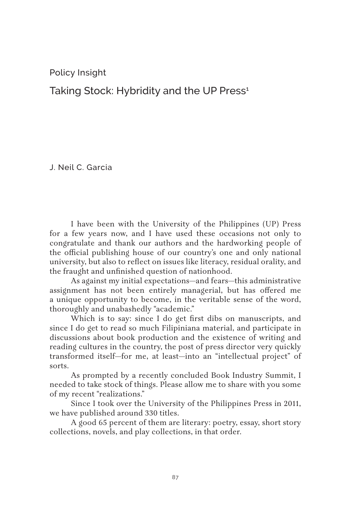Policy Insight

Taking Stock: Hybridity and the UP Press<sup>1</sup>

J. Neil C. Garcia

I have been with the University of the Philippines (UP) Press for a few years now, and I have used these occasions not only to congratulate and thank our authors and the hardworking people of the official publishing house of our country's one and only national university, but also to reflect on issues like literacy, residual orality, and the fraught and unfinished question of nationhood.

As against my initial expectations—and fears—this administrative assignment has not been entirely managerial, but has offered me a unique opportunity to become, in the veritable sense of the word, thoroughly and unabashedly "academic."

Which is to say: since I do get first dibs on manuscripts, and since I do get to read so much Filipiniana material, and participate in discussions about book production and the existence of writing and reading cultures in the country, the post of press director very quickly transformed itself—for me, at least—into an "intellectual project" of sorts.

As prompted by a recently concluded Book Industry Summit, I needed to take stock of things. Please allow me to share with you some of my recent "realizations."

Since I took over the University of the Philippines Press in 2011, we have published around 330 titles.

A good 65 percent of them are literary: poetry, essay, short story collections, novels, and play collections, in that order.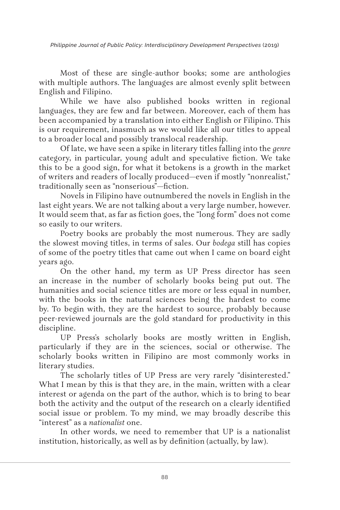*Philippine Journal of Public Policy: Interdisciplinary Development Perspectives* (2019)

Most of these are single-author books; some are anthologies with multiple authors. The languages are almost evenly split between English and Filipino.

While we have also published books written in regional languages, they are few and far between. Moreover, each of them has been accompanied by a translation into either English or Filipino. This is our requirement, inasmuch as we would like all our titles to appeal to a broader local and possibly translocal readership.

Of late, we have seen a spike in literary titles falling into the *genre* category, in particular, young adult and speculative fiction. We take this to be a good sign, for what it betokens is a growth in the market of writers and readers of locally produced—even if mostly "nonrealist," traditionally seen as "nonserious"—fiction.

Novels in Filipino have outnumbered the novels in English in the last eight years. We are not talking about a very large number, however. It would seem that, as far as fiction goes, the "long form" does not come so easily to our writers.

Poetry books are probably the most numerous. They are sadly the slowest moving titles, in terms of sales. Our *bodega* still has copies of some of the poetry titles that came out when I came on board eight years ago.

On the other hand, my term as UP Press director has seen an increase in the number of scholarly books being put out. The humanities and social science titles are more or less equal in number, with the books in the natural sciences being the hardest to come by. To begin with, they are the hardest to source, probably because peer-reviewed journals are the gold standard for productivity in this discipline.

UP Press's scholarly books are mostly written in English, particularly if they are in the sciences, social or otherwise. The scholarly books written in Filipino are most commonly works in literary studies.

The scholarly titles of UP Press are very rarely "disinterested." What I mean by this is that they are, in the main, written with a clear interest or agenda on the part of the author, which is to bring to bear both the activity and the output of the research on a clearly identified social issue or problem. To my mind, we may broadly describe this "interest" as a *nationalist* one.

In other words, we need to remember that UP is a nationalist institution, historically, as well as by definition (actually, by law).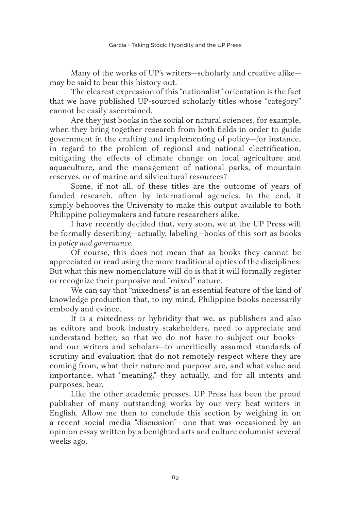Many of the works of UP's writers—scholarly and creative alike may be said to bear this history out.

The clearest expression of this "nationalist" orientation is the fact that we have published UP-sourced scholarly titles whose "category" cannot be easily ascertained.

Are they just books in the social or natural sciences, for example, when they bring together research from both fields in order to guide government in the crafting and implementing of policy—for instance, in regard to the problem of regional and national electrification, mitigating the effects of climate change on local agriculture and aquaculture, and the management of national parks, of mountain reserves, or of marine and silvicultural resources?

Some, if not all, of these titles are the outcome of years of funded research, often by international agencies. In the end, it simply behooves the University to make this output available to both Philippine policymakers and future researchers alike.

I have recently decided that, very soon, we at the UP Press will be formally describing—actually, labeling—books of this sort as books in *policy and governance.*

Of course, this does not mean that as books they cannot be appreciated or read using the more traditional optics of the disciplines. But what this new nomenclature will do is that it will formally register or recognize their purposive and "mixed" nature.

We can say that "mixedness" is an essential feature of the kind of knowledge production that, to my mind, Philippine books necessarily embody and evince.

It is a mixedness or hybridity that we, as publishers and also as editors and book industry stakeholders, need to appreciate and understand better, so that we do not have to subject our books and our writers and scholars—to uncritically assumed standards of scrutiny and evaluation that do not remotely respect where they are coming from, what their nature and purpose are, and what value and importance, what "meaning," they actually, and for all intents and purposes, bear.

Like the other academic presses, UP Press has been the proud publisher of many outstanding works by our very best writers in English. Allow me then to conclude this section by weighing in on a recent social media "discussion"—one that was occasioned by an opinion essay written by a benighted arts and culture columnist several weeks ago.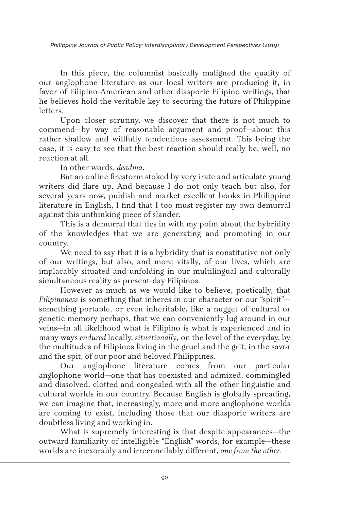*Philippine Journal of Public Policy: Interdisciplinary Development Perspectives* (2019)

In this piece, the columnist basically maligned the quality of our anglophone literature as our local writers are producing it, in favor of Filipino-American and other diasporic Filipino writings, that he believes hold the veritable key to securing the future of Philippine letters.

Upon closer scrutiny, we discover that there is not much to commend—by way of reasonable argument and proof—about this rather shallow and willfully tendentious assessment. This being the case, it is easy to see that the best reaction should really be, well, no reaction at all.

In other words, *deadma.*

But an online firestorm stoked by very irate and articulate young writers did flare up. And because I do not only teach but also, for several years now, publish and market excellent books in Philippine literature in English, I find that I too must register my own demurral against this unthinking piece of slander.

This is a demurral that ties in with my point about the hybridity of the knowledges that we are generating and promoting in our country.

We need to say that it is a hybridity that is constitutive not only of our writings, but also, and more vitally, of our lives, which are implacably situated and unfolding in our multilingual and culturally simultaneous reality as present-day Filipinos.

However as much as we would like to believe, poetically, that *Filipinoness* is something that inheres in our character or our "spirit" something portable, or even inheritable, like a nugget of cultural or genetic memory perhaps, that we can conveniently lug around in our veins—in all likelihood what is Filipino is what is experienced and in many ways *endured* locally, *situationally,* on the level of the everyday, by the multitudes of Filipinos living in the gruel and the grit, in the savor and the spit, of our poor and beloved Philippines.

Our anglophone literature comes from our particular anglophone world—one that has coexisted and admixed, commingled and dissolved, clotted and congealed with all the other linguistic and cultural worlds in our country. Because English is globally spreading, we can imagine that, increasingly, more and more anglophone worlds are coming to exist, including those that our diasporic writers are doubtless living and working in.

What is supremely interesting is that despite appearances—the outward familiarity of intelligible "English" words, for example—these worlds are inexorably and irreconcilably different, *one from the other.*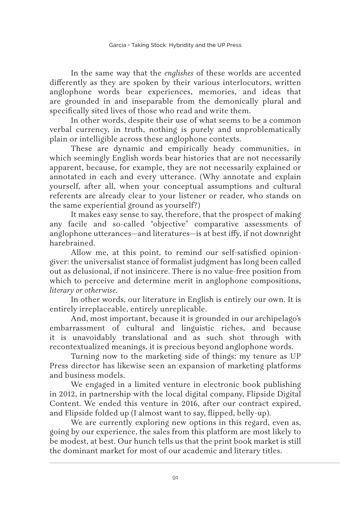In the same way that the *englishes* of these worlds are accented differently as they are spoken by their various interlocutors, written anglophone words bear experiences, memories, and ideas that are grounded in and inseparable from the demonically plural and specifically sited lives of those who read and write them.

In other words, despite their use of what seems to be a common verbal currency, in truth, nothing is purely and unproblematically plain or intelligible across these anglophone contexts.

These are dynamic and empirically heady communities, in which seemingly English words bear histories that are not necessarily apparent, because, for example, they are not necessarily explained or annotated in each and every utterance. (Why annotate and explain yourself, after all, when your conceptual assumptions and cultural referents are already clear to your listener or reader, who stands on the same experiential ground as yourself?)

It makes easy sense to say, therefore, that the prospect of making any facile and so-called "objective" comparative assessments of anglophone utterances—and literatures—is at best iffy, if not downright harebrained.

Allow me, at this point, to remind our self-satisfied opiniongiver: the universalist stance of formalist judgment has long been called out as delusional, if not insincere. There is no value-free position from which to perceive and determine merit in anglophone compositions, *literary or otherwise.*

In other words, our literature in English is entirely our own. It is entirely irreplaceable, entirely unreplicable.

And, most important, because it is grounded in our archipelago's embarrassment of cultural and linguistic riches, and because it is unavoidably translational and as such shot through with recontextualized meanings, it is precious beyond anglophone words.

Turning now to the marketing side of things: my tenure as UP Press director has likewise seen an expansion of marketing platforms and business models.

We engaged in a limited venture in electronic book publishing in 2012, in partnership with the local digital company, Flipside Digital Content. We ended this venture in 2016, after our contract expired, and Flipside folded up (I almost want to say, flipped, belly-up).

We are currently exploring new options in this regard, even as, going by our experience, the sales from this platform are most likely to be modest, at best. Our hunch tells us that the print book market is still the dominant market for most of our academic and literary titles.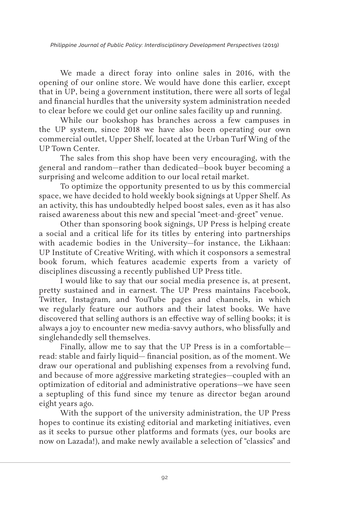We made a direct foray into online sales in 2016, with the opening of our online store. We would have done this earlier, except that in UP, being a government institution, there were all sorts of legal and financial hurdles that the university system administration needed to clear before we could get our online sales facility up and running.

While our bookshop has branches across a few campuses in the UP system, since 2018 we have also been operating our own commercial outlet, Upper Shelf, located at the Urban Turf Wing of the UP Town Center.

The sales from this shop have been very encouraging, with the general and random—rather than dedicated—book buyer becoming a surprising and welcome addition to our local retail market.

To optimize the opportunity presented to us by this commercial space, we have decided to hold weekly book signings at Upper Shelf. As an activity, this has undoubtedly helped boost sales, even as it has also raised awareness about this new and special "meet-and-greet" venue.

Other than sponsoring book signings, UP Press is helping create a social and a critical life for its titles by entering into partnerships with academic bodies in the University—for instance, the Likhaan: UP Institute of Creative Writing, with which it cosponsors a semestral book forum, which features academic experts from a variety of disciplines discussing a recently published UP Press title.

I would like to say that our social media presence is, at present, pretty sustained and in earnest. The UP Press maintains Facebook, Twitter, Instagram, and YouTube pages and channels, in which we regularly feature our authors and their latest books. We have discovered that selling authors is an effective way of selling books; it is always a joy to encounter new media-savvy authors, who blissfully and singlehandedly sell themselves.

Finally, allow me to say that the UP Press is in a comfortable read: stable and fairly liquid— financial position, as of the moment. We draw our operational and publishing expenses from a revolving fund, and because of more aggressive marketing strategies—coupled with an optimization of editorial and administrative operations—we have seen a septupling of this fund since my tenure as director began around eight years ago.

With the support of the university administration, the UP Press hopes to continue its existing editorial and marketing initiatives, even as it seeks to pursue other platforms and formats (yes, our books are now on Lazada!), and make newly available a selection of "classics" and